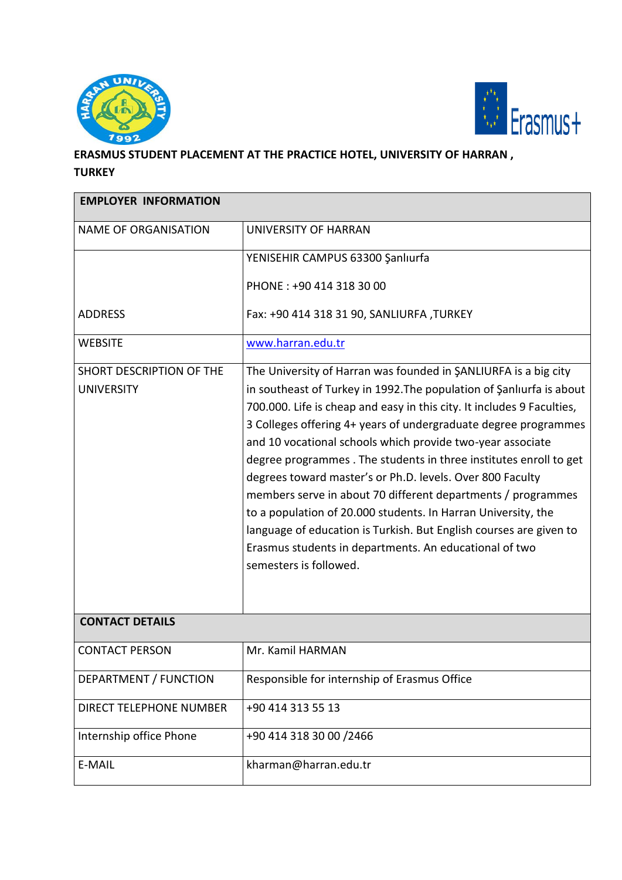



## **ERASMUS STUDENT PLACEMENT AT THE PRACTICE HOTEL, UNIVERSITY OF HARRAN , TURKEY**

| <b>EMPLOYER INFORMATION</b>                   |                                                                                                                                                                                                                                                                                                                                                                                                                                                                                                                                                                                                                                                                                                                                                                                 |  |
|-----------------------------------------------|---------------------------------------------------------------------------------------------------------------------------------------------------------------------------------------------------------------------------------------------------------------------------------------------------------------------------------------------------------------------------------------------------------------------------------------------------------------------------------------------------------------------------------------------------------------------------------------------------------------------------------------------------------------------------------------------------------------------------------------------------------------------------------|--|
| <b>NAME OF ORGANISATION</b>                   | UNIVERSITY OF HARRAN                                                                                                                                                                                                                                                                                                                                                                                                                                                                                                                                                                                                                                                                                                                                                            |  |
|                                               | YENISEHIR CAMPUS 63300 Şanlıurfa                                                                                                                                                                                                                                                                                                                                                                                                                                                                                                                                                                                                                                                                                                                                                |  |
|                                               | PHONE: +90 414 318 30 00                                                                                                                                                                                                                                                                                                                                                                                                                                                                                                                                                                                                                                                                                                                                                        |  |
| <b>ADDRESS</b>                                | Fax: +90 414 318 31 90, SANLIURFA, TURKEY                                                                                                                                                                                                                                                                                                                                                                                                                                                                                                                                                                                                                                                                                                                                       |  |
| <b>WEBSITE</b>                                | www.harran.edu.tr                                                                                                                                                                                                                                                                                                                                                                                                                                                                                                                                                                                                                                                                                                                                                               |  |
| SHORT DESCRIPTION OF THE<br><b>UNIVERSITY</b> | The University of Harran was founded in SANLIURFA is a big city<br>in southeast of Turkey in 1992. The population of Şanlıurfa is about<br>700.000. Life is cheap and easy in this city. It includes 9 Faculties,<br>3 Colleges offering 4+ years of undergraduate degree programmes<br>and 10 vocational schools which provide two-year associate<br>degree programmes. The students in three institutes enroll to get<br>degrees toward master's or Ph.D. levels. Over 800 Faculty<br>members serve in about 70 different departments / programmes<br>to a population of 20.000 students. In Harran University, the<br>language of education is Turkish. But English courses are given to<br>Erasmus students in departments. An educational of two<br>semesters is followed. |  |
| <b>CONTACT DETAILS</b>                        |                                                                                                                                                                                                                                                                                                                                                                                                                                                                                                                                                                                                                                                                                                                                                                                 |  |
| <b>CONTACT PERSON</b>                         | Mr. Kamil HARMAN                                                                                                                                                                                                                                                                                                                                                                                                                                                                                                                                                                                                                                                                                                                                                                |  |
| DEPARTMENT / FUNCTION                         | Responsible for internship of Erasmus Office                                                                                                                                                                                                                                                                                                                                                                                                                                                                                                                                                                                                                                                                                                                                    |  |
| DIRECT TELEPHONE NUMBER                       | +90 414 313 55 13                                                                                                                                                                                                                                                                                                                                                                                                                                                                                                                                                                                                                                                                                                                                                               |  |
| Internship office Phone                       | +90 414 318 30 00 /2466                                                                                                                                                                                                                                                                                                                                                                                                                                                                                                                                                                                                                                                                                                                                                         |  |
| E-MAIL                                        | kharman@harran.edu.tr                                                                                                                                                                                                                                                                                                                                                                                                                                                                                                                                                                                                                                                                                                                                                           |  |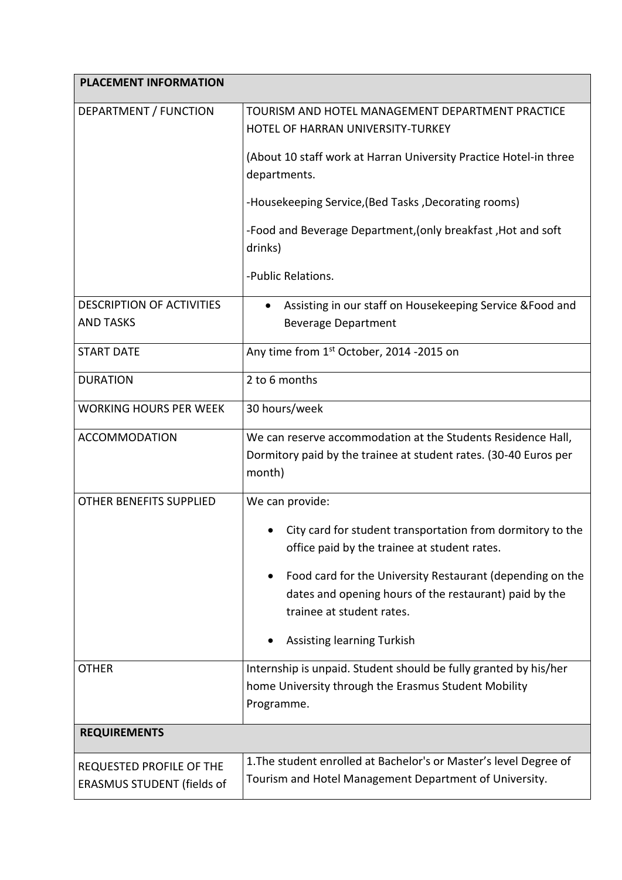| <b>PLACEMENT INFORMATION</b>                                  |                                                                                                                                                       |  |
|---------------------------------------------------------------|-------------------------------------------------------------------------------------------------------------------------------------------------------|--|
| DEPARTMENT / FUNCTION                                         | TOURISM AND HOTEL MANAGEMENT DEPARTMENT PRACTICE<br>HOTEL OF HARRAN UNIVERSITY-TURKEY                                                                 |  |
|                                                               | (About 10 staff work at Harran University Practice Hotel-in three<br>departments.                                                                     |  |
|                                                               | -Housekeeping Service, (Bed Tasks, Decorating rooms)                                                                                                  |  |
|                                                               | -Food and Beverage Department, (only breakfast, Hot and soft<br>drinks)                                                                               |  |
|                                                               | -Public Relations.                                                                                                                                    |  |
| <b>DESCRIPTION OF ACTIVITIES</b><br><b>AND TASKS</b>          | Assisting in our staff on Housekeeping Service & Food and<br>$\bullet$<br><b>Beverage Department</b>                                                  |  |
| <b>START DATE</b>                                             | Any time from 1st October, 2014 -2015 on                                                                                                              |  |
| <b>DURATION</b>                                               | 2 to 6 months                                                                                                                                         |  |
| <b>WORKING HOURS PER WEEK</b>                                 | 30 hours/week                                                                                                                                         |  |
| <b>ACCOMMODATION</b>                                          | We can reserve accommodation at the Students Residence Hall,<br>Dormitory paid by the trainee at student rates. (30-40 Euros per<br>month)            |  |
| <b>OTHER BENEFITS SUPPLIED</b>                                | We can provide:                                                                                                                                       |  |
|                                                               | City card for student transportation from dormitory to the<br>office paid by the trainee at student rates.                                            |  |
|                                                               | Food card for the University Restaurant (depending on the<br>٠<br>dates and opening hours of the restaurant) paid by the<br>trainee at student rates. |  |
|                                                               | Assisting learning Turkish                                                                                                                            |  |
| <b>OTHER</b>                                                  | Internship is unpaid. Student should be fully granted by his/her<br>home University through the Erasmus Student Mobility<br>Programme.                |  |
| <b>REQUIREMENTS</b>                                           |                                                                                                                                                       |  |
| REQUESTED PROFILE OF THE<br><b>ERASMUS STUDENT (fields of</b> | 1. The student enrolled at Bachelor's or Master's level Degree of<br>Tourism and Hotel Management Department of University.                           |  |